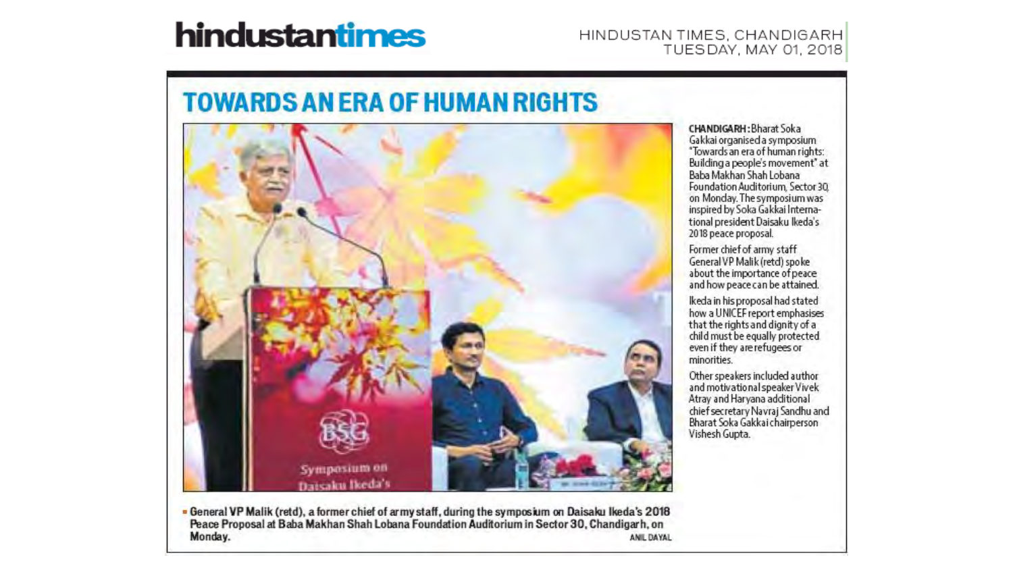# hindustantimes

#### HINDUSTAN TIMES, CHANDIGARH TUESDAY, MAY 01, 2018

# **TOWARDS AN ERA OF HUMAN RIGHTS**



. General VP Malik (retd), a former chief of army staff, during the symposium on Daisaku Ikeda's 2018 Peace Proposal at Baba Makhan Shah Lobana Foundation Auditorium in Sector 30, Chandigarh, on Monday. ANIL DAYAL CHANDIGARH: Bharat Soka Gakkai organised a symposium "Towards an era of human rights: Building a people's movement' at Baba Makhan Shah Lobana Foundation Auditorium, Sector 30. on Monday. The symposium was inspired by Soka Gakkai International president Daisaku Ikeda's 2018 peace proposal.

Former chief of army staff General VP Malik (retd) spoke about the importance of peace and how peace can be attained.

Ikeda in his proposal had stated how a UNICEF report emphasises that the rights and dignity of a child must be equally protected even if they are refugees or minorities.

Other speakers included author and motivational speaker Vivek Atray and Haryana additional chief secretary Navraj Sandhu and Bharat Soka Gakkai chairperson Vishesh Gupta.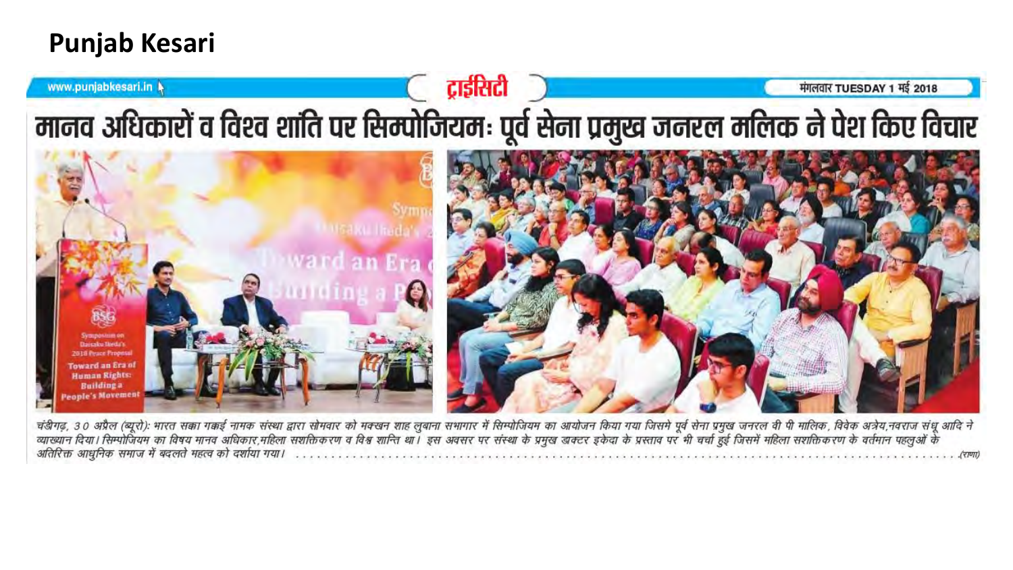# **Punjab Kesari**



चंडीगढ़, 30 अप्रैल (ब्यूरो): भारत सका गकई नामक संस्था द्वारा सोमवार को महलुबाना सभागर में सिम्पोजियम का आयोजन किया गया जिसमे पूर्व सेना प्रमुख जनरल वी पी मालिक, विवेक अत्रेय,नवराज संधू आदि ने<br>व्याख्यान दिया। सिम्पोजियम का अतिरिक्त आधुनिक समाज में बदलते महत्व को दर्शाया गया।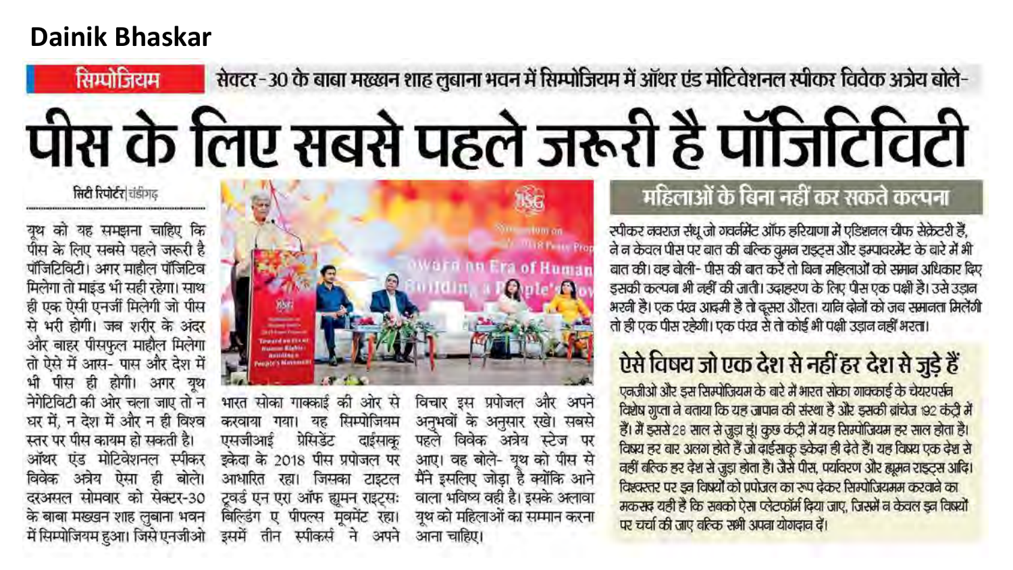# **Dainik Bhaskar**

सिम्पोजियम

# सेक्टर-30 के बाबा मख्खन शाह लुबाना भवन में सिम्पोजियम में ऑथर एंड मोटिवेशनल स्पीकर विवेक अंग्रेय बोले-

# पीस के लिए सबसे पहले जरूरी है पॉजिटिविटी

#### सिटी रिपोर्टर चंडीगढ़

युथ को यह समझना चाहिए कि पीस के लिए सबसे पहले जरूरी है पॉजिटिविटी। अगर माहौल पॉजिटिव मिलेगा तो माइंड भी सही रहेगा। साथ ही एक ऐसी एनर्जी मिलेगी जो पीस से भरी होगी। जब शरीर के अंदर और बाहर पीसफुल माहौल मिलेगा तो ऐसे में आस- पास और देश में पीस ही होगी। अगर यूथ नेगेटिविटी की ओर चला जाए तो न धर में, न देश में और न ही विश्व स्तर पर पीस कायम हो सकती है। ऑथर एंड मोटिवेशनल स्पीकर अत्रेय ऐसा ही बोले। विवेक दरअसल सोमवार को सेक्टर-30 के बाबा मख्खन शाह लुबाना भवन में सिम्पोजियम हुआ। जिसे एनजीओ



भारत सोका गाक्काई की ओर से सिम्पोजियम करवाया गया। यह प्रेसिडेंट एसजीआई दाईसाक इकेदा के 2018 पीस प्रपोजल पर आधारित रहा। जिसका टाइटल टूवर्ड एन एरा ऑफ ह्युमन राइट्सः बिल्डिंग ए पीपल्स मुवमेंट रहा। स्पीकर्स ने डममें तीन अपने

विचार इस प्रपोजल और अपने अनुभवों के अनुसार रखे। सबसे पहले विवेक अत्रेय स्टेज पर आए। वह बोले- यूथ को पीस से मैंने इसलिए जोड़ा है क्योंकि आने वाला भविष्य वही है। इसके अलावा युथ को महिलाओं का सम्मान करना आना चाहिए।

## महिलाओं के बिना नहीं कर सकते कल्पना

स्पीकर नवराज संधू जो गवर्नमेंट ऑफ हरियाणा में एडिशनल चीफ सेक्रेटरी हैं, ने न केवल पीस पर बात की बल्कि वुमन राइट्स और इम्पावरमेंट के बारे में भी बात की। वह बोली- पीस की बात करें तो बिना महिलाओं को समान अधिकार दिए इसकी कल्पना भी नहीं की जाती। उदाहरण के लिए पीस एक पक्षी है। उसे उड़ान भरनी है। एक पंख आदमी है तो दूसरा औरत। यानि दोनों को जब समानता मिलेंगी तो ही एक पीस रहेगी। एक पंख से तो कोई भी पक्षी उड़ान नहीं भरता।

# ऐसे विषय जो एक देश से नहीं हर देश से जुड़े हैं

एकजीओ और इस सिम्पोजियम के बारे में भारत सोका गाक्काई के चेयरपर्सन विशेष गुप्ता ने बताया कि यह जापान की संस्था है और इसकी बांचेज 192 कंट्री में हैं। मैं इससे 28 साल से जुड़ा हूं। कुछ कंट्री में यह सिम्पोजियम हर साल होता है। विषय हर बार अलग होते हैं जो दाईसाकू इकेदा ही देते हैं। यह विषय एक देश से वहीं बर्तिक हर देश से जुड़ा होता है। जैसे पीस, पर्यावरण और ह्यूमन राइट्स आदि। विश्वरतर पर इन विषयों को प्रपोजल का रूप ढ़ेकर सिम्पोजियमम करवाने का मकसद यही है कि सबको ऐसा प्लेटफॉर्म दिया जाए, जिसमें न केवल इन विषयों पर चर्चा की जाए बरिक सभी अपना योगदान दें।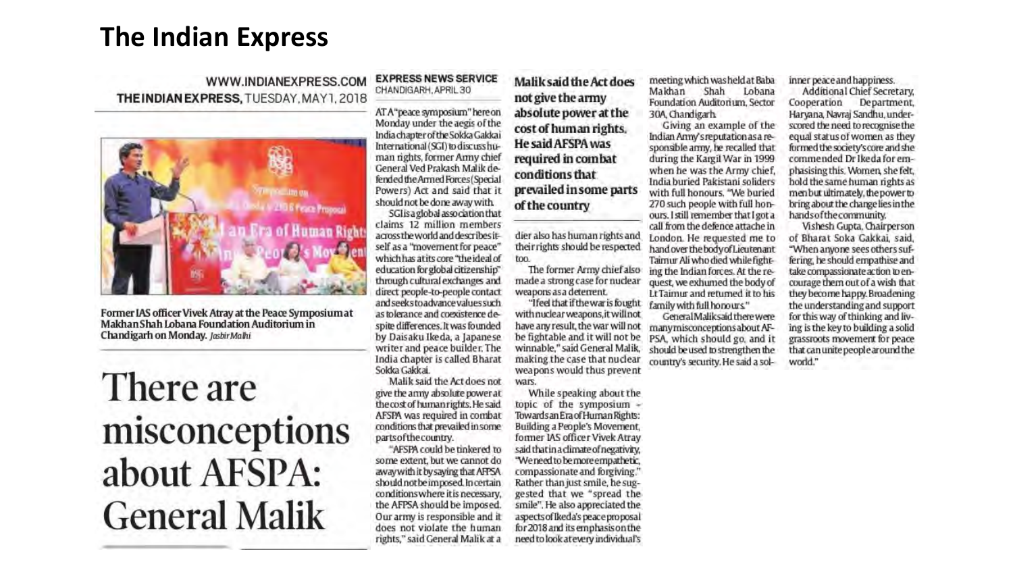# **The Indian Express**

#### WWW.INDIANEXPRESS.COM **THEINDIAN EXPRESS, TUESDAY, MAY1, 2018**



Former IAS officer Vivek Atray at the Peace Symposium at Makhan Shah Lobana Foundation Auditorium in Chandigarh on Monday. Jashir Malhi

# There are misconceptions about AFSPA: **General Malik**

#### **EXPRESS NEWS SERVICE** CHANDIGARH, APRIL 30

AT A"peace symposium" here on Monday under the aegis of the India chapter of the Sokka Gakkai International (SGI) to discuss human rights, former Army chief General Ved Prakash Malik defended the Armed Forces (Special Powers) Act and said that it should not be done away with

SGI saglobal association that claims 12 million members across the world and describes itself as a "movement for peace" which has a tits core "the ideal of education for global citizenship" through cultural exchanges and direct people-to-people contact and seeks to advance values such as tolerance and coexistence despite differences. It was founded by Daisaku Ikeda, a Japanese writer and peace builder. The India chapter is called Bharat Sokka Gakkai.

Malik said the Act does not give the army absolute power at the cost of human rights. He said AFSPA was required in combat conditions that prevailed in some parts of the country.

"AFSPA could be tinkered to some extent, but we cannot do away with it by saying that AFPSA should not be imposed. In certain conditions where it is necessary, the AFPSA should be imposed. Our army is responsible and it does not violate the human rights," said General Malik at a

#### Malik said the Act does

not give the army absolute power at the cost of human rights. **He said AFSPA was** required in combat conditions that prevailed in some parts of the country

dier also has human rights and their rights should be respected too.

The former Army chief also made a strong case for nuclear weapons as a deterrent.

"Ifeel that if the war is fought with nuclear weapons, it will not have any result, the war will not be fightable and it will not be winnable," said General Malik, making the case that nuclear weapons would thus prevent wars.

While speaking about the topic of the symposium -Towards an Era of Human Rights: Building a People's Movement, former IAS officer Vivek Atray said that in a climate of negativity. "We need to be more empathetic, compassionate and forgiving." Rather than just smile, he suggested that we "spread the smile". He also appreciated the aspects of Ikeda's peace proposal for 2018 and its emphasis on the need to look at every individual's

meeting which was held at Baba Makhan Shah Lobana Foundation Auditorium, Sector 30A Chandigarh

Giving an example of the Indian Amy's reputation as a responsible army, he recalled that during the Kargil War in 1999 when he was the Army chief, India buried Pakistani soliders with full honours. "We buried 270 such people with full honours. I still remember that I got a call from the defence attache in London. He requested me to hand over the body of Lieutenant Tairnur Ali who died while fighting the Indian forces. At the request, we exhumed the body of Lt Taimur and returned it to his family with full honours."

General Maliksaid there were many misconceptions about AF-PSA, which should go, and it should be used to strengthen the country's security. He said a solinner peace and happiness.

Additional Chief Secretary. Cooperation Department, Haryana, Navraj Sandhu, underscored the need to recognise the equal status of women as they formed the society's core and she commended Dr Ikeda for emphasising this. Women, she felt, hold the same human rights as menbut ultimately, the power to bring about the change lies in the hands of the community.

Vishesh Gupta, Chairperson of Bharat Soka Gakkai, said, "When anyone sees others suffering, he should empathise and take compassionate action to encourage them out of a wish that they become happy. Broadening the understanding and support for this way of thinking and living is the key to building a solid grassroots movement for peace that can unite people around the world."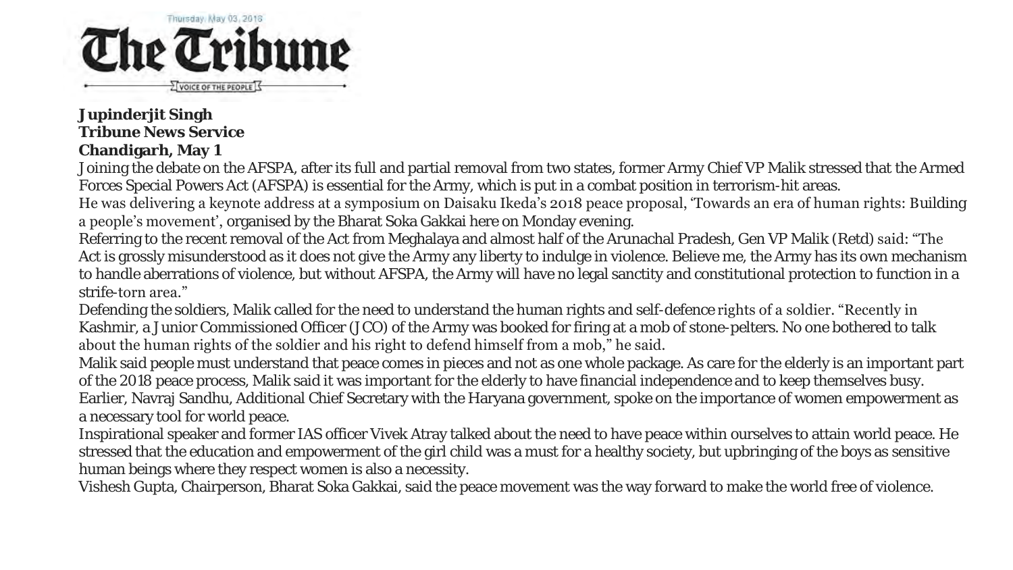

**Jupinderjit Singh Tribune News Service Chandigarh, May 1**

Joining the debate on the AFSPA, after its full and partial removal from two states, former Army Chief VP Malik stressed that the Armed Forces Special Powers Act (AFSPA) is essential for the Army, which is put in a combat position in terrorism-hit areas.

He was delivering a keynote address at a symposium on Daisaku Ikeda's 2018 peace proposal, 'Towards an era of human rights: Building a people's movement', organised by the Bharat Soka Gakkai here on Monday evening.

Referring to the recent removal of the Act from Meghalaya and almost half of the Arunachal Pradesh, Gen VP Malik (Retd) said: "The Act is grossly misunderstood as it does not give the Army any liberty to indulge in violence. Believe me, the Army has its own mechanism to handle aberrations of violence, but without AFSPA, the Army will have no legal sanctity and constitutional protection to function in a strife-torn area."

Defending the soldiers, Malik called for the need to understand the human rights and self-defence rights of a soldier. "Recently in Kashmir, a Junior Commissioned Officer (JCO) of the Army was booked for firing at a mob of stone-pelters. No one bothered to talk about the human rights of the soldier and his right to defend himself from a mob," he said.

Malik said people must understand that peace comes in pieces and not as one whole package. As care for the elderly is an important part of the 2018 peace process, Malik said it was important for the elderly to have financial independence and to keep themselves busy. Earlier, Navraj Sandhu, Additional Chief Secretary with the Haryana government, spoke on the importance of women empowerment as a necessary tool for world peace.

Inspirational speaker and former IAS officer Vivek Atray talked about the need to have peace within ourselves to attain world peace. He stressed that the education and empowerment of the girl child was a must for a healthy society, but upbringing of the boys as sensitive human beings where they respect women is also a necessity.

Vishesh Gupta, Chairperson, Bharat Soka Gakkai, said the peace movement was the way forward to make the world free of violence.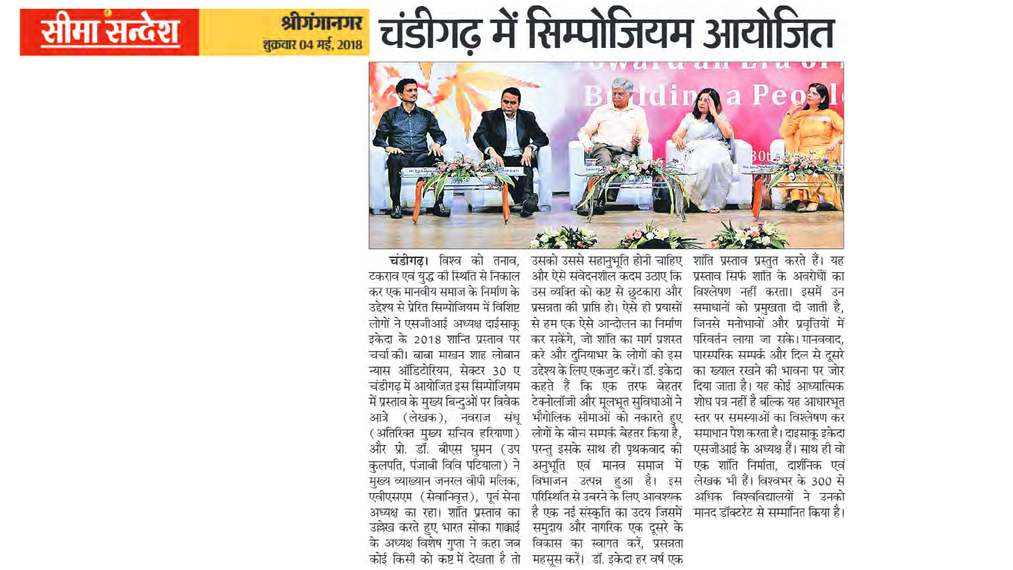# **अग्गानगर** चंडीगढ़ में सिम्पोजियम आयोजित



मा सन्देश



चंडीगढ़। विश्व को तनाव, उसको उससे सहानुभूति होनी चाहिए शांति प्रस्ताव प्रस्तुत करते हैं। यह टकराव एवं युद्ध की स्थिति से निकाल और ऐसे संवेदनशील कदम उठाए कि प्रस्ताव सिर्फ शांति के अवरोधों का कर एक मानवीय समाज के निर्माण के उस व्यक्ति को कष्ट से छुटकारा और विश्लेषण नहीं करता। इसमें उन उद्देश्य से प्रेरित सिम्पोजियम में विशिष्ट प्रसन्नता की प्राप्ति हो। ऐसे ही प्रयासों समाधानों को प्रमुखता दी जाती है, लोगों ने एसजीआई अध्यक्ष दाईसाकु से हम एक ऐसे आन्दोलन का निर्माण जिनसे मनोभावों और प्रवृत्तियों में इकेदा के 2018 शान्ति प्रस्ताव पर कर सकेंगे, जो शांति का मार्ग प्रशस्त परिवर्तन लाया जा सके। मानववाद, चर्चा की। बाबा माखन शाह लोबान करे और दुनियाभर के लोगों को इस पारस्परिक सम्पर्क और दिल से दूसरे न्यास ऑडिटोरियम, सेक्टर 30 ए उद्देश्य के लिए एकजुट करें। डॉ. इकेदा का ख्याल रखने की भावना पर जोर चंडीगढ़ में आयोजित इस सिम्पोजियम कहते हैं कि एक तरफ बेहतर दिया जाता है। यह कोई आध्यात्मिक में प्रस्ताव के मुख्य बिन्दुओं पर विवेक टेक्नोलॉजी और मूलभूत सुविधाओं ने शोध पत्र नहीं है बल्कि यह आधारभूत आत्रे (लेखक), नवराज संधू भौगोलिक सीमाओं को नकारते हुए स्तर पर समस्याओं का विश्लेषण कर (अतिरिक्त मुख्य सचिव हरियाणा ) लोगों के बीच सम्पर्क बेहतर किया है, समाधान पेश करता है। दाइसाकु इकेदा और प्रो. डॉ. बीएस घुमन (उप परन्तु इसके साथ ही पृथकवाद की एसजीआई के अध्यक्ष हैं। साथ ही वो कुलपति, पंजाबी विवि पटियाला) ने अनुभूति एवं मानव समाज में एक शांति निर्माता, दार्शनिक एवं मुख्य व्याख्यान जनरल वीपी मलिक, विभाजन उत्पन्न हुआ है। इस लेखक भी हैं। विश्वभर के 300 से एवीएसएम (सेवानिवृत्त), पूर्व सेना परिस्थिति से उबरने के लिए आवश्यक अधिक विश्वविद्यालयों ने उनको अध्यक्ष का रहा। शांति प्रस्ताव का है एक नई संस्कृति का उदय जिसमें मानद डॉक्टरेट से सम्मानित किया है।

उल्लेख करते हुए भारत सोका गाकाई समुदाय और नागरिक एक दूसरे के के अध्यक्ष विशेष गुप्ता ने कहा जब विकास का स्वागत करें, प्रसन्नता

कोई किसी को कष्ट में देखता है तो महसूस करें। डॉ. इकेदा हर वर्ष एक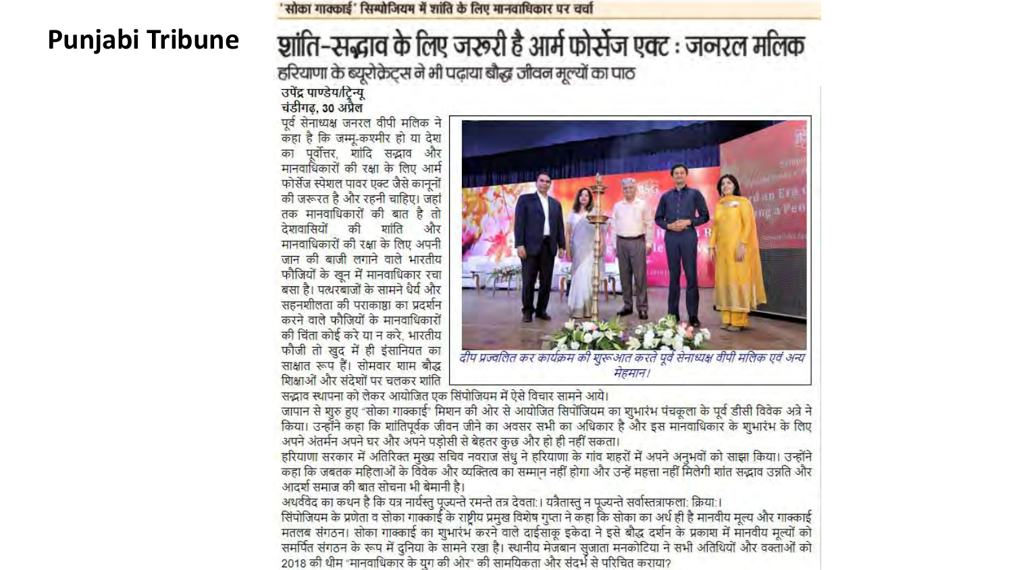# **Punjabi Tribune**

#### सोका गाक्काई' सिम्पोजियम में शांति के लिए मानवाधिकार पर चर्चा

# श्चांति-सद्भाव के लिए जरूरी है आर्म फोर्सेज एक्ट : जनरल मलिक हरियाणा के ब्यूरोक्रेट्स ने भी पढ़ाया बौद्ध जीवन मूल्यों का पाठ

उपेंद्र पाण्डेय/टिन्यू चंडीगढ़, 30 अप्रैल

पूर्व सेनाध्यक्ष जनरल वीपी मलिक ने कहा है कि जम्मू-कश्मीर हो या देश का पूर्वोत्तर, शांदि सद्भाव और मानवाधिकारों की रक्षा के लिए आर्म फोर्सेज स्पेशल पावर एक्ट जैसे कानूनों की जरूरत है और रहनी चाहिए। जहां तक मानवाधिकारों की बात है तो देशवासियों की शांति और मानवाधिकारों की रक्षा के लिए अपनी जान की बाजी लगाने वाले भारतीय फौजियों के खून में मानवाधिकार रचा बसा है। पत्थरबाजों के सामने धैर्य और सहनशीलता की पराकाष्ठा का प्रदर्शन करने वाले फौजियों के मानवाधिकारों की चिंता कोई करे या न करे, भारतीय फौजी तो खुद में ही इंसानियत का साक्षात रूप हैं। सोमवार शाम बौद्ध शिक्षाओं और संदेशों पर चलकर शांति



सद्भाव स्थापना को लेकर आयोजित एक सिंपोजियम में ऐसे विचार सामने आये।

जापान से शुरु हुए "सोका गाक्काई" मिशन की ओर से <mark>आयोजित</mark> सिपोंजियम का शुभारंभ पंचकूला के पूर्व डीसी विवेक अत्रे ने किया। उन्होंने कहा कि शांतिपूर्वक जीवन जीने का अवसर सभी का अधिकार है और इस मानवाधिकार के शुभारंभ के लिए अपने अंतर्मन अपने घर और अपने पड़ोसी से बेहतर कुछ और हो ही नहीं सकता।

हरियाणा सरकार में अतिरिक्त मुख्य सचिव नवराज संधु ने हरियाणा के गांव शहरों में अपने अनुभवों को साझा किया। उन्होंने कहा कि जबतक महिलाओं के विवेक और व्यक्तित्व का सम्मान नहीं होगा और उन्हें महत्ता नहीं मिलेगी शांत सद्भाव उन्नति और आदर्श समाज की बात सोचना भी बेमानी है।

अथर्ववेद का कथन है कि यत्र नार्यस्तु पूज्यन्ते रमन्ते तत्र देवता:। यत्रैतास्तु न पूज्यन्ते सर्वास्तत्राफला: क्रिया:। सिंपोजियम के प्रणेता व सोका गाक्काई के राष्ट्रीय प्रमुख विशेष गुप्ता ने कहा कि सोका का अर्थ ही है मानवीय मूल्य और गाक्काई मतलब संगठन। सोका गाक्काई का शुभारंभ करने वाले दाईसाकू इकेदा ने इसे बौद्ध दर्शन के प्रकाश में मानवीय मूल्यों को समर्पित संगठन के रूप में दुनिया के सामने रखा है। स्थानीय मेजबान सुजाता मनकोटिया ने सभी अतिथियों और वक्ताओं को 2018 की थीम "मानवाधिकार के युग की ओर" की सामयिकता और संदर्भ से परिचित कराया?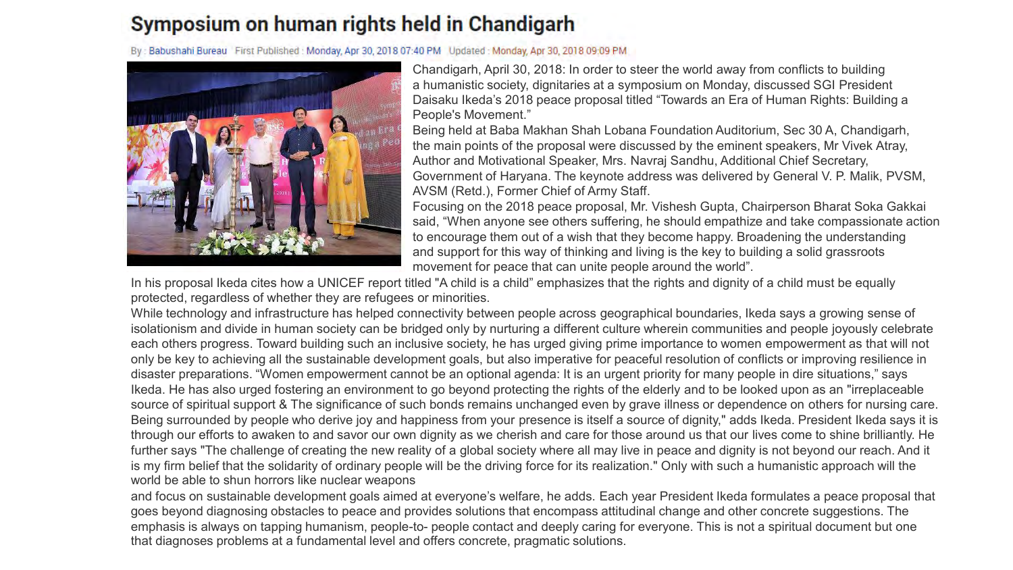### Symposium on human rights held in Chandigarh

By: Babushahi Bureau First Published: Monday, Apr 30, 2018 07:40 PM Updated: Monday, Apr 30, 2018 09:09 PM



Chandigarh, April 30, 2018: In order to steer the world away from conflicts to building a humanistic society, dignitaries at a symposium on Monday, discussed SGI President Daisaku Ikeda's 2018 peace proposal titled "Towards an Era of Human Rights: Building a People's Movement."

Being held at Baba Makhan Shah Lobana Foundation Auditorium, Sec 30 A, Chandigarh, the main points of the proposal were discussed by the eminent speakers, Mr Vivek Atray, Author and Motivational Speaker, Mrs. Navraj Sandhu, Additional Chief Secretary, Government of Haryana. The keynote address was delivered by General V. P. Malik, PVSM, AVSM (Retd.), Former Chief of Army Staff.

Focusing on the 2018 peace proposal, Mr. Vishesh Gupta, Chairperson Bharat Soka Gakkai said, "When anyone see others suffering, he should empathize and take compassionate action to encourage them out of a wish that they become happy. Broadening the understanding and support for this way of thinking and living is the key to building a solid grassroots movement for peace that can unite people around the world".

In his proposal Ikeda cites how a UNICEF report titled "A child is a child" emphasizes that the rights and dignity of a child must be equally protected, regardless of whether they are refugees or minorities.

While technology and infrastructure has helped connectivity between people across geographical boundaries, Ikeda says a growing sense of isolationism and divide in human society can be bridged only by nurturing a different culture wherein communities and people joyously celebrate each others progress. Toward building such an inclusive society, he has urged giving prime importance to women empowerment as that will not only be key to achieving all the sustainable development goals, but also imperative for peaceful resolution of conflicts or improving resilience in disaster preparations. "Women empowerment cannot be an optional agenda: It is an urgent priority for many people in dire situations," says Ikeda. He has also urged fostering an environment to go beyond protecting the rights of the elderly and to be looked upon as an "irreplaceable source of spiritual support & The significance of such bonds remains unchanged even by grave illness or dependence on others for nursing care. Being surrounded by people who derive joy and happiness from your presence is itself a source of dignity," adds Ikeda. President Ikeda says it is through our efforts to awaken to and savor our own dignity as we cherish and care for those around us that our lives come to shine brilliantly. He further says "The challenge of creating the new reality of a global society where all may live in peace and dignity is not beyond our reach. And it is my firm belief that the solidarity of ordinary people will be the driving force for its realization." Only with such a humanistic approach will the world be able to shun horrors like nuclear weapons

and focus on sustainable development goals aimed at everyone's welfare, he adds. Each year President Ikeda formulates a peace proposal that goes beyond diagnosing obstacles to peace and provides solutions that encompass attitudinal change and other concrete suggestions. The emphasis is always on tapping humanism, people-to- people contact and deeply caring for everyone. This is not a spiritual document but one that diagnoses problems at a fundamental level and offers concrete, pragmatic solutions.